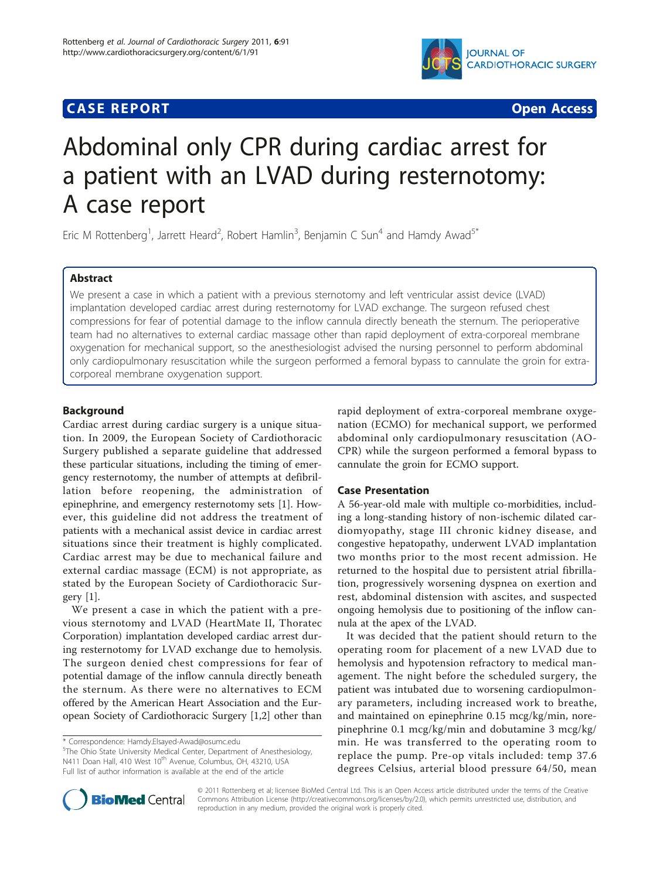# **CASE REPORT CASE REPORT CASE REPORT**



# Abdominal only CPR during cardiac arrest for a patient with an LVAD during resternotomy: A case report

Eric M Rottenberg<sup>1</sup>, Jarrett Heard<sup>2</sup>, Robert Hamlin<sup>3</sup>, Benjamin C Sun<sup>4</sup> and Hamdy Awad<sup>5\*</sup>

## Abstract

We present a case in which a patient with a previous sternotomy and left ventricular assist device (LVAD) implantation developed cardiac arrest during resternotomy for LVAD exchange. The surgeon refused chest compressions for fear of potential damage to the inflow cannula directly beneath the sternum. The perioperative team had no alternatives to external cardiac massage other than rapid deployment of extra-corporeal membrane oxygenation for mechanical support, so the anesthesiologist advised the nursing personnel to perform abdominal only cardiopulmonary resuscitation while the surgeon performed a femoral bypass to cannulate the groin for extracorporeal membrane oxygenation support.

## Background

Cardiac arrest during cardiac surgery is a unique situation. In 2009, the European Society of Cardiothoracic Surgery published a separate guideline that addressed these particular situations, including the timing of emergency resternotomy, the number of attempts at defibrillation before reopening, the administration of epinephrine, and emergency resternotomy sets [\[1](#page-3-0)]. However, this guideline did not address the treatment of patients with a mechanical assist device in cardiac arrest situations since their treatment is highly complicated. Cardiac arrest may be due to mechanical failure and external cardiac massage (ECM) is not appropriate, as stated by the European Society of Cardiothoracic Surgery [\[1](#page-3-0)].

We present a case in which the patient with a previous sternotomy and LVAD (HeartMate II, Thoratec Corporation) implantation developed cardiac arrest during resternotomy for LVAD exchange due to hemolysis. The surgeon denied chest compressions for fear of potential damage of the inflow cannula directly beneath the sternum. As there were no alternatives to ECM offered by the American Heart Association and the European Society of Cardiothoracic Surgery [\[1,2\]](#page-3-0) other than

rapid deployment of extra-corporeal membrane oxygenation (ECMO) for mechanical support, we performed abdominal only cardiopulmonary resuscitation (AO-CPR) while the surgeon performed a femoral bypass to cannulate the groin for ECMO support.

## Case Presentation

A 56-year-old male with multiple co-morbidities, including a long-standing history of non-ischemic dilated cardiomyopathy, stage III chronic kidney disease, and congestive hepatopathy, underwent LVAD implantation two months prior to the most recent admission. He returned to the hospital due to persistent atrial fibrillation, progressively worsening dyspnea on exertion and rest, abdominal distension with ascites, and suspected ongoing hemolysis due to positioning of the inflow cannula at the apex of the LVAD.

It was decided that the patient should return to the operating room for placement of a new LVAD due to hemolysis and hypotension refractory to medical management. The night before the scheduled surgery, the patient was intubated due to worsening cardiopulmonary parameters, including increased work to breathe, and maintained on epinephrine 0.15 mcg/kg/min, norepinephrine 0.1 mcg/kg/min and dobutamine 3 mcg/kg/ min. He was transferred to the operating room to replace the pump. Pre-op vitals included: temp 37.6 degrees Celsius, arterial blood pressure 64/50, mean



© 2011 Rottenberg et al; licensee BioMed Central Ltd. This is an Open Access article distributed under the terms of the Creative Commons Attribution License [\(http://creativecommons.org/licenses/by/2.0](http://creativecommons.org/licenses/by/2.0)), which permits unrestricted use, distribution, and reproduction in any medium, provided the original work is properly cited.

<sup>\*</sup> Correspondence: [Hamdy.Elsayed-Awad@osumc.edu](mailto:Hamdy.Elsayed-Awad@osumc.edu)

<sup>&</sup>lt;sup>5</sup>The Ohio State University Medical Center, Department of Anesthesiology, N411 Doan Hall, 410 West 10<sup>th</sup> Avenue, Columbus, OH, 43210, USA Full list of author information is available at the end of the article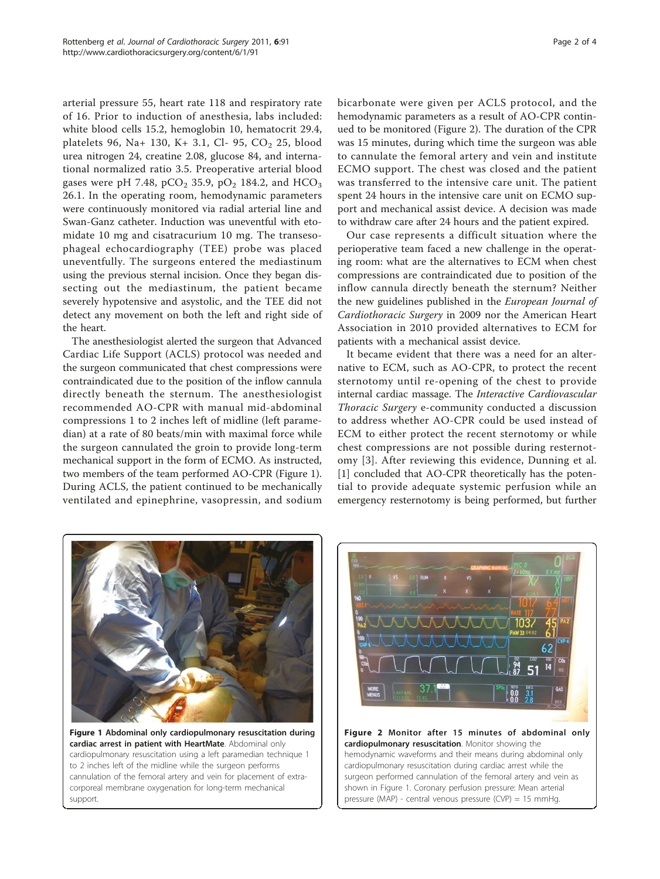arterial pressure 55, heart rate 118 and respiratory rate of 16. Prior to induction of anesthesia, labs included: white blood cells 15.2, hemoglobin 10, hematocrit 29.4, platelets 96, Na+ 130, K+ 3.1, Cl- 95, CO<sub>2</sub> 25, blood urea nitrogen 24, creatine 2.08, glucose 84, and international normalized ratio 3.5. Preoperative arterial blood gases were pH 7.48, pCO<sub>2</sub> 35.9, pO<sub>2</sub> 184.2, and HCO<sub>3</sub> 26.1. In the operating room, hemodynamic parameters were continuously monitored via radial arterial line and Swan-Ganz catheter. Induction was uneventful with etomidate 10 mg and cisatracurium 10 mg. The transesophageal echocardiography (TEE) probe was placed uneventfully. The surgeons entered the mediastinum using the previous sternal incision. Once they began dissecting out the mediastinum, the patient became severely hypotensive and asystolic, and the TEE did not detect any movement on both the left and right side of the heart.

The anesthesiologist alerted the surgeon that Advanced Cardiac Life Support (ACLS) protocol was needed and the surgeon communicated that chest compressions were contraindicated due to the position of the inflow cannula directly beneath the sternum. The anesthesiologist recommended AO-CPR with manual mid-abdominal compressions 1 to 2 inches left of midline (left paramedian) at a rate of 80 beats/min with maximal force while the surgeon cannulated the groin to provide long-term mechanical support in the form of ECMO. As instructed, two members of the team performed AO-CPR (Figure 1). During ACLS, the patient continued to be mechanically ventilated and epinephrine, vasopressin, and sodium bicarbonate were given per ACLS protocol, and the hemodynamic parameters as a result of AO-CPR continued to be monitored (Figure 2). The duration of the CPR was 15 minutes, during which time the surgeon was able to cannulate the femoral artery and vein and institute ECMO support. The chest was closed and the patient was transferred to the intensive care unit. The patient spent 24 hours in the intensive care unit on ECMO support and mechanical assist device. A decision was made to withdraw care after 24 hours and the patient expired.

Our case represents a difficult situation where the perioperative team faced a new challenge in the operating room: what are the alternatives to ECM when chest compressions are contraindicated due to position of the inflow cannula directly beneath the sternum? Neither the new guidelines published in the European Journal of Cardiothoracic Surgery in 2009 nor the American Heart Association in 2010 provided alternatives to ECM for patients with a mechanical assist device.

It became evident that there was a need for an alternative to ECM, such as AO-CPR, to protect the recent sternotomy until re-opening of the chest to provide internal cardiac massage. The Interactive Cardiovascular Thoracic Surgery e-community conducted a discussion to address whether AO-CPR could be used instead of ECM to either protect the recent sternotomy or while chest compressions are not possible during resternotomy [[3](#page-3-0)]. After reviewing this evidence, Dunning et al. [[1\]](#page-3-0) concluded that AO-CPR theoretically has the potential to provide adequate systemic perfusion while an emergency resternotomy is being performed, but further



Figure 1 Abdominal only cardiopulmonary resuscitation during cardiac arrest in patient with HeartMate. Abdominal only cardiopulmonary resuscitation using a left paramedian technique 1 to 2 inches left of the midline while the surgeon performs cannulation of the femoral artery and vein for placement of extracorporeal membrane oxygenation for long-term mechanical support.



shown in Figure 1. Coronary perfusion pressure: Mean arterial pressure (MAP) - central venous pressure (CVP) = 15 mmHg.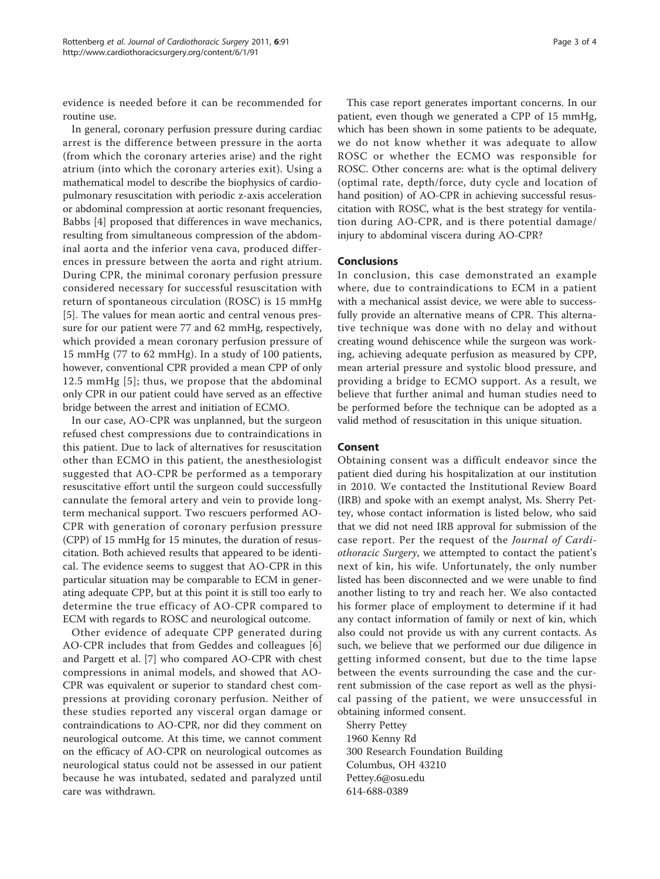evidence is needed before it can be recommended for routine use.

In general, coronary perfusion pressure during cardiac arrest is the difference between pressure in the aorta (from which the coronary arteries arise) and the right atrium (into which the coronary arteries exit). Using a mathematical model to describe the biophysics of cardiopulmonary resuscitation with periodic z-axis acceleration or abdominal compression at aortic resonant frequencies, Babbs [[4\]](#page-3-0) proposed that differences in wave mechanics, resulting from simultaneous compression of the abdominal aorta and the inferior vena cava, produced differences in pressure between the aorta and right atrium. During CPR, the minimal coronary perfusion pressure considered necessary for successful resuscitation with return of spontaneous circulation (ROSC) is 15 mmHg [[5\]](#page-3-0). The values for mean aortic and central venous pressure for our patient were 77 and 62 mmHg, respectively, which provided a mean coronary perfusion pressure of 15 mmHg (77 to 62 mmHg). In a study of 100 patients, however, conventional CPR provided a mean CPP of only 12.5 mmHg [[5](#page-3-0)]; thus, we propose that the abdominal only CPR in our patient could have served as an effective bridge between the arrest and initiation of ECMO.

In our case, AO-CPR was unplanned, but the surgeon refused chest compressions due to contraindications in this patient. Due to lack of alternatives for resuscitation other than ECMO in this patient, the anesthesiologist suggested that AO-CPR be performed as a temporary resuscitative effort until the surgeon could successfully cannulate the femoral artery and vein to provide longterm mechanical support. Two rescuers performed AO-CPR with generation of coronary perfusion pressure (CPP) of 15 mmHg for 15 minutes, the duration of resuscitation. Both achieved results that appeared to be identical. The evidence seems to suggest that AO-CPR in this particular situation may be comparable to ECM in generating adequate CPP, but at this point it is still too early to determine the true efficacy of AO-CPR compared to ECM with regards to ROSC and neurological outcome.

Other evidence of adequate CPP generated during AO-CPR includes that from Geddes and colleagues [\[6](#page-3-0)] and Pargett et al. [\[7](#page-3-0)] who compared AO-CPR with chest compressions in animal models, and showed that AO-CPR was equivalent or superior to standard chest compressions at providing coronary perfusion. Neither of these studies reported any visceral organ damage or contraindications to AO-CPR, nor did they comment on neurological outcome. At this time, we cannot comment on the efficacy of AO-CPR on neurological outcomes as neurological status could not be assessed in our patient because he was intubated, sedated and paralyzed until care was withdrawn.

This case report generates important concerns. In our patient, even though we generated a CPP of 15 mmHg, which has been shown in some patients to be adequate, we do not know whether it was adequate to allow ROSC or whether the ECMO was responsible for ROSC. Other concerns are: what is the optimal delivery (optimal rate, depth/force, duty cycle and location of hand position) of AO-CPR in achieving successful resuscitation with ROSC, what is the best strategy for ventilation during AO-CPR, and is there potential damage/ injury to abdominal viscera during AO-CPR?

## Conclusions

In conclusion, this case demonstrated an example where, due to contraindications to ECM in a patient with a mechanical assist device, we were able to successfully provide an alternative means of CPR. This alternative technique was done with no delay and without creating wound dehiscence while the surgeon was working, achieving adequate perfusion as measured by CPP, mean arterial pressure and systolic blood pressure, and providing a bridge to ECMO support. As a result, we believe that further animal and human studies need to be performed before the technique can be adopted as a valid method of resuscitation in this unique situation.

### Consent

Obtaining consent was a difficult endeavor since the patient died during his hospitalization at our institution in 2010. We contacted the Institutional Review Board (IRB) and spoke with an exempt analyst, Ms. Sherry Pettey, whose contact information is listed below, who said that we did not need IRB approval for submission of the case report. Per the request of the Journal of Cardiothoracic Surgery, we attempted to contact the patient's next of kin, his wife. Unfortunately, the only number listed has been disconnected and we were unable to find another listing to try and reach her. We also contacted his former place of employment to determine if it had any contact information of family or next of kin, which also could not provide us with any current contacts. As such, we believe that we performed our due diligence in getting informed consent, but due to the time lapse between the events surrounding the case and the current submission of the case report as well as the physical passing of the patient, we were unsuccessful in obtaining informed consent.

Sherry Pettey 1960 Kenny Rd 300 Research Foundation Building Columbus, OH 43210 Pettey.6@osu.edu 614-688-0389